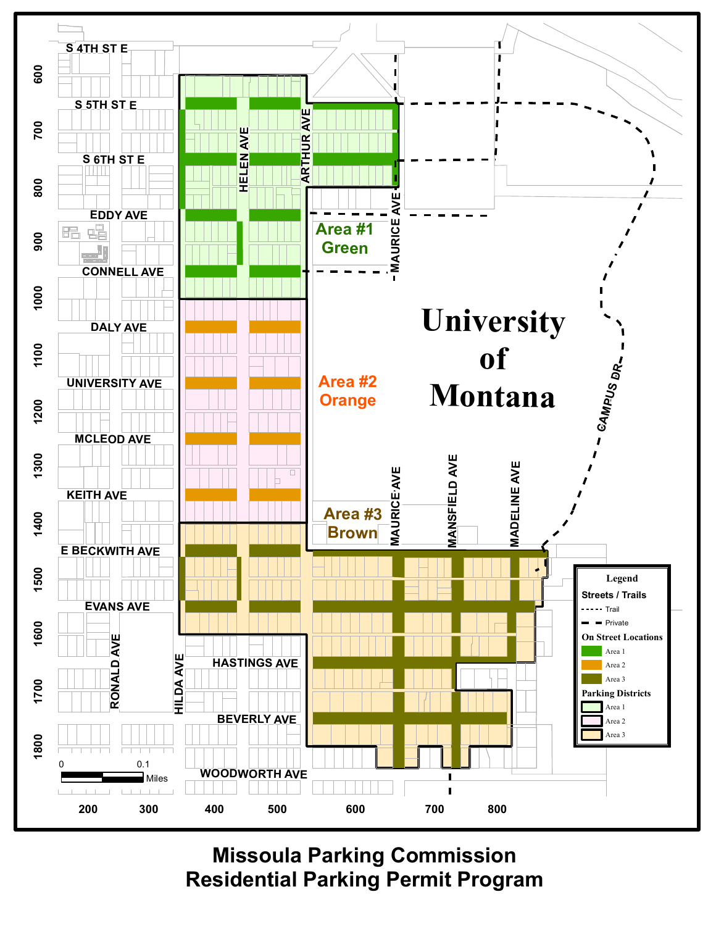

**Missoula Parking Commission Residential Parking Permit Program**